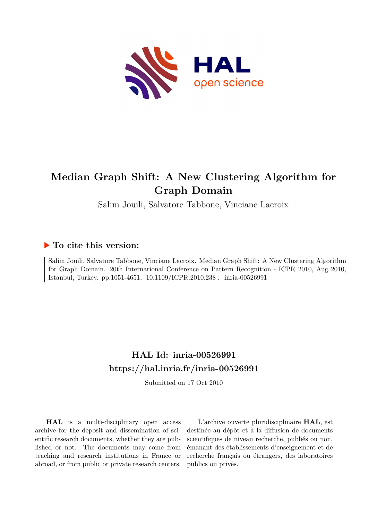

# **Median Graph Shift: A New Clustering Algorithm for Graph Domain**

Salim Jouili, Salvatore Tabbone, Vinciane Lacroix

### **To cite this version:**

Salim Jouili, Salvatore Tabbone, Vinciane Lacroix. Median Graph Shift: A New Clustering Algorithm for Graph Domain. 20th International Conference on Pattern Recognition - ICPR 2010, Aug 2010, Istanbul, Turkey. pp.1051-4651,  $10.1109/ICPR.2010.238$ . inria-00526991

## **HAL Id: inria-00526991 <https://hal.inria.fr/inria-00526991>**

Submitted on 17 Oct 2010

**HAL** is a multi-disciplinary open access archive for the deposit and dissemination of scientific research documents, whether they are published or not. The documents may come from teaching and research institutions in France or abroad, or from public or private research centers.

L'archive ouverte pluridisciplinaire **HAL**, est destinée au dépôt et à la diffusion de documents scientifiques de niveau recherche, publiés ou non, émanant des établissements d'enseignement et de recherche français ou étrangers, des laboratoires publics ou privés.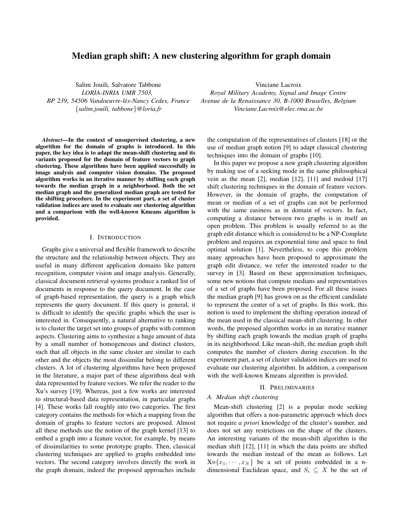### **Median graph shift: A new clustering algorithm for graph domain**

Salim Jouili, Salvatore Tabbone *LORIA-INRIA UMR 7503, BP 239, 54506 Vandoeuvre-les-Nancy Cedex, France `* {*salim.jouili, tabbone*}*@loria.fr*

*Abstract***—In the context of unsupervised clustering, a new algorithm for the domain of graphs is introduced. In this paper, the key idea is to adapt the mean-shift clustering and its variants proposed for the domain of feature vectors to graph clustering. These algorithms have been applied successfully in image analysis and computer vision domains. The proposed algorithm works in an iterative manner by shifting each graph towards the median graph in a neighborhood. Both the set median graph and the generalized median graph are tested for the shifting procedure. In the experiment part, a set of cluster validation indices are used to evaluate our clustering algorithm and a comparison with the well-known Kmeans algorithm is provided.**

#### I. INTRODUCTION

Graphs give a universal and flexible framework to describe the structure and the relationship between objects. They are useful in many different application domains like pattern recognition, computer vision and image analysis. Generally, classical document retrieval systems produce a ranked list of documents in response to the query document. In the case of graph-based representation, the query is a graph which represents the query document. If this query is general, it is difficult to identify the specific graphs which the user is interested in. Consequently, a natural alternative to ranking is to cluster the target set into groups of graphs with common aspects. Clustering aims to synthesize a huge amount of data by a small number of homogeneous and distinct clusters, such that all objects in the same cluster are similar to each other and the objects the most dissimilar belong to different clusters. A lot of clustering algorithms have been proposed in the literature, a major part of these algorithms deal with data represented by feature vectors. We refer the reader to the Xu's survey [19]. Whereas, just a few works are interested to structural-based data representation, in particular graphs [4]. These works fall roughly into two categories. The first category contains the methods for which a mapping from the domain of graphs to feature vectors are proposed. Almost all these methods use the notion of the graph kernel [13] to embed a graph into a feature vector, for example, by means of dissimilarities to some prototype graphs. Then, classical clustering techniques are applied to graphs embedded into vectors. The second category involves directly the work in the graph domain, indeed the proposed approaches include

Vinciane Lacroix *Royal Military Academy, Signal and Image Centre Avenue de la Renaissance 30, B-1000 Bruxelles, Belgium Vinciane.Lacroix@elec.rma.ac.be*

the computation of the representatives of clusters [18] or the use of median graph notion [9] to adapt classical clustering techniques into the domain of graphs [10].

In this paper we propose a new graph clustering algorithm by making use of a seeking mode in the same philosophical vein as the mean [2], median [12], [11] and medoid [17] shift clustering techniques in the domain of feature vectors. However, in the domain of graphs, the computation of mean or median of a set of graphs can not be performed with the same easiness as in domain of vectors. In fact, computing a distance between two graphs is in itself an open problem. This problem is usually referred to as the graph edit distance which is considered to be a NP-Complete problem and requires an exponential time and space to find optimal solution [1]. Nevertheless, to cope this problem many approaches have been proposed to approximate the graph edit distance, we refer the interested reader to the survey in [3]. Based on these approximation techniques, some new notions that compute medians and representatives of a set of graphs have been proposed. For all these issues the median graph [9] has grown on as the efficient candidate to represent the center of a set of graphs. In this work, this notion is used to implement the shifting operation instead of the mean used in the classical mean-shift clustering. In other words, the proposed algorithm works in an iterative manner by shifting each graph towards the median graph of graphs in its neighborhood. Like mean-shift, the median graph shift computes the number of clusters during execution. In the experiment part, a set of cluster validation indices are used to evaluate our clustering algorithm. In addition, a comparison with the well-known Kmeans algorithm is provided.

#### II. PRELIMINARIES

#### *A. Median shift clustering*

Mean-shift clustering [2] is a popular mode seeking algorithm that offers a non-parametric approach which does not require *a priori* knowledge of the cluster's number, and does not set any restrictions on the shape of the clusters. An interesting variants of the mean-shift algorithm is the median shift [12], [11] in which the data points are shifted towards the median instead of the mean as follows. Let  $X = \{x_1, \dots, x_N\}$  be a set of points embedded in a ndimensional Euclidean space, and  $S_i \subseteq X$  be the set of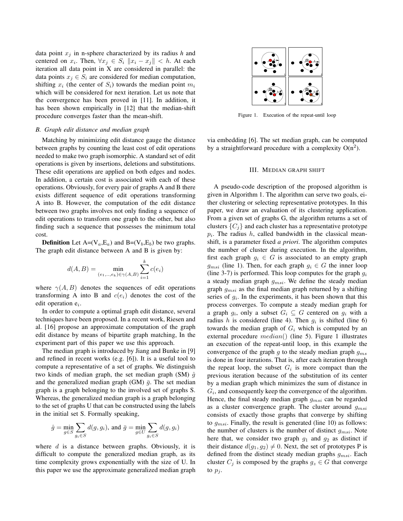data point  $x_i$  in n-sphere characterized by its radius  $h$  and centered on  $x_i$ . Then,  $\forall x_j \in S_i$   $||x_i - x_j|| < h$ . At each iteration all data point in X are considered in parallel: the data points  $x_i \in S_i$  are considered for median computation, shifting  $x_i$  (the center of  $S_i$ ) towards the median point  $m_i$ which will be considered for next iteration. Let us note that the convergence has been proved in [11]. In addition, it has been shown empirically in [12] that the median-shift procedure converges faster than the mean-shift.

#### *B. Graph edit distance and median graph*

Matching by minimizing edit distance gauge the distance between graphs by counting the least cost of edit operations needed to make two graph isomorphic. A standard set of edit operations is given by insertions, deletions and substitutions. These edit operations are applied on both edges and nodes. In addition, a certain cost is associated with each of these operations. Obviously, for every pair of graphs A and B there exists different sequence of edit operations transforming A into B. However, the computation of the edit distance between two graphs involves not only finding a sequence of edit operations to transform one graph to the other, but also finding such a sequence that possesses the minimum total cost.

**Definition** Let  $A=(V_a, E_a)$  and  $B=(V_b, E_b)$  be two graphs. The graph edit distance between A and B is given by:

$$
d(A, B) = \min_{(e_1, \dots, e_k) \in \gamma(A, B)} \sum_{i=1}^k c(e_i)
$$

where  $\gamma(A, B)$  denotes the sequences of edit operations transforming A into B and  $c(e_i)$  denotes the cost of the edit operation  $e_i$ .

In order to compute a optimal graph edit distance, several techniques have been proposed. In a recent work, Riesen and al. [16] propose an approximate computation of the graph edit distance by means of bipartite graph matching, In the experiment part of this paper we use this approach.

The median graph is introduced by Jiang and Bunke in [9] and refined in recent works (e.g. [6]). It is a useful tool to compute a representative of a set of graphs. We distinguish two kinds of median graph, the set median graph (SM)  $\hat{q}$ and the generalized median graph (GM)  $\bar{q}$ . The set median graph is a graph belonging to the involved set of graphs S. Whereas, the generalized median graph is a graph belonging to the set of graphs U that can be constructed using the labels in the initial set S. Formally speaking,

$$
\hat{g} = \min_{g \in S} \sum_{g_i \in S} d(g, g_i), \text{ and } \bar{g} = \min_{g \in U} \sum_{g_i \in S} d(g, g_i)
$$

where  $d$  is a distance between graphs. Obviously, it is difficult to compute the generalized median graph, as its time complexity grows exponentially with the size of U. In this paper we use the approximate generalized median graph



Figure 1. Execution of the repeat-until loop

via embedding [6]. The set median graph, can be computed by a straightforward procedure with a complexity  $O(n^2)$ .

#### III. MEDIAN GRAPH SHIFT

A pseudo-code description of the proposed algorithm is given in Algorithm 1. The algorithm can serve two goals, either clustering or selecting representative prototypes. In this paper, we draw an evaluation of its clustering application. From a given set of graphs G, the algorithm returns a set of clusters  $\{C_i\}$  and each cluster has a representative prototype  $p_i$ . The radius  $h$ , called bandwidth in the classical meanshift, is a parameter fixed *a priori*. The algorithm computes the number of cluster during execution. In the algorithm, first each graph  $q_i \in G$  is associated to an empty graph  $g_{msi}$  (line 1). Then, for each graph  $g_i \in G$  the inner loop (line 3-7) is performed. This loop computes for the graph  $g_i$ a steady median graph  $g_{msi}$ . We define the steady median graph  $g_{msi}$  as the final median graph returned by a shifting series of  $g_i$ . In the experiments, it has been shown that this process converges. To compute a steady median graph for a graph  $g_i$ , only a subset  $G_i \subseteq G$  centered on  $g_i$  with a radius h is considered (line 4). Then  $g_i$  is shifted (line 6) towards the median graph of  $G_i$  which is computed by an external procedure  $median()$  (line 5). Figure 1 illustrates an execution of the repeat-until loop, in this example the convergence of the graph g to the steady median graph  $g_{ms}$ is done in four iterations. That is, after each iteration through the repeat loop, the subset  $G_i$  is more compact than the previous iteration because of the substitution of its center by a median graph which minimizes the sum of distance in  $G_i$ , and consequently keep the convergence of the algorithm. Hence, the final steady median graph  $g_{msi}$  can be regarded as a cluster convergence graph. The cluster around  $q_{msi}$ consists of exactly those graphs that converge by shifting to  $g_{msi}$ . Finally, the result is generated (line 10) as follows: the number of clusters is the number of distinct  $g_{msi}$ . Note here that, we consider two graph  $g_1$  and  $g_2$  as distinct if their distance  $d(g_1, g_2) \neq 0$ . Next, the set of prototypes P is defined from the distinct steady median graphs  $g_{msi}$ . Each cluster  $C_j$  is composed by the graphs  $g_z \in G$  that converge to  $p_i$ .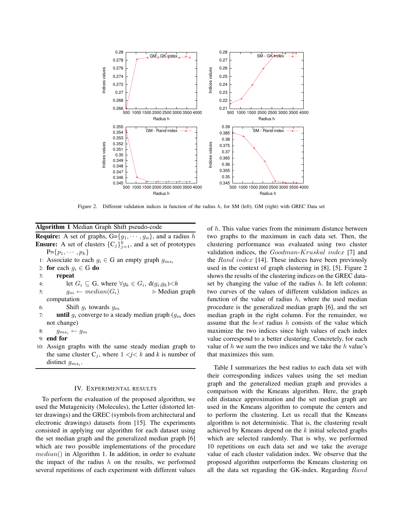

Figure 2. Different validation indices in function of the radius  $h$ , for SM (left), GM (right) with GREC Data set

#### **Algorithm 1** Median Graph Shift pseudo-code

**Require:** A set of graphs,  $G = \{g_1, \dots, g_n\}$ , and a radius h **Ensure:** A set of clusters  $\{C_j\}_{j=1}^k$ , and a set of prototypes  $P = \{p_1, \cdots, p_k\}$ 

- 1: Associate to each  $g_i \in G$  an empty graph  $g_{ms_i}$
- 2: **for** each  $g_i \in G$  **do**
- 3: **repeat**
- 4: let  $G_i \subseteq G$ , where  $\forall g_k \in G_i$ ,  $d(g_i, g_k) < h$
- 5:  $g_m \leftarrow \text{median}(G_i) \qquad \qquad \triangleright \text{Median graph}$ computation
- 6: Shift  $g_i$  towards  $g_m$
- 7: **until**  $g_i$  converge to a steady median graph  $(g_m$  does not change)
- 8:  $g_{ms_i} \leftarrow g_m$
- 9: **end for**
- 10: Assign graphs with the same steady median graph to the same cluster  $C_j$ , where  $1 \le j \le k$  and k is number of distinct  $g_{ms_i}$ .

#### IV. EXPERIMENTAL RESULTS

To perform the evaluation of the proposed algorithm, we used the Mutagenicity (Molecules), the Letter (distorted letter drawings) and the GREC (symbols from architectural and electronic drawings) datasets from [15]. The experiments consisted in applying our algorithm for each dataset using the set median graph and the generalized median graph [6] which are two possible implementations of the procedure  $median()$  in Algorithm 1. In addition, in order to evaluate the impact of the radius  $h$  on the results, we performed several repetitions of each experiment with different values of h. This value varies from the minimum distance between two graphs to the maximum in each data set. Then, the clustering performance was evaluated using two cluster validation indices, the Goodman-Kruskal index [7] and the Rand index [14]. These indices have been previously used in the context of graph clustering in [8], [5]. Figure 2 shows the results of the clustering indices on the GREC dataset by changing the value of the radius  $h$ . In left column: two curves of the values of different validation indices as function of the value of radius  $h$ , where the used median procedure is the generalized median graph [6], and the set median graph in the right column. For the remainder, we assume that the *best* radius  $h$  consists of the value which maximize the two indices since high values of each index value correspond to a better clustering. Concretely, for each value of  $h$  we sum the two indices and we take the  $h$  value's that maximizes this sum.

Table I summarizes the best radius to each data set with their corresponding indices values using the set median graph and the generalized median graph and provides a comparison with the Kmeans algorithm. Here, the graph edit distance approximation and the set median graph are used in the Kmeans algorithm to compute the centers and to perform the clustering. Let us recall that the Kmeans algorithm is not deterministic. That is, the clustering result achieved by Kmeans depend on the k initial selected graphs which are selected randomly. That is why, we performed 10 repetitions on each data set and we take the average value of each cluster validation index. We observe that the proposed algorithm outperforms the Kmeans clustering on all the data set regarding the GK-index. Regarding Rand